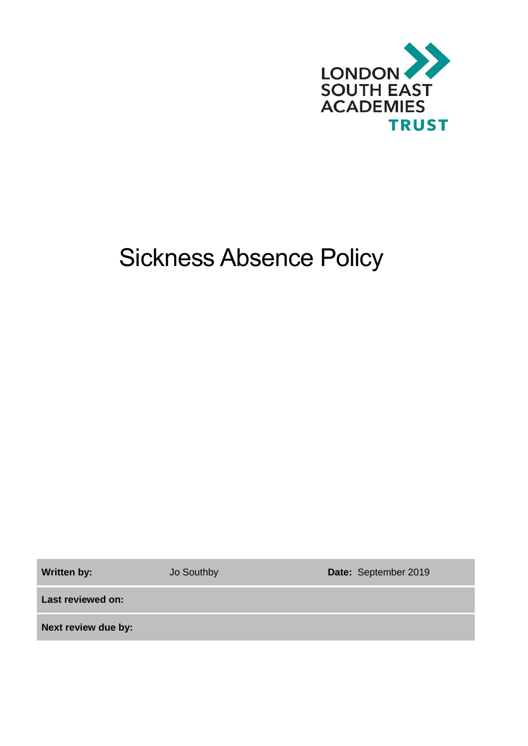

# Sickness Absence Policy

Written by: **Jo Southby <b>Date:** September 2019

**Last reviewed on:**

**Next review due by:**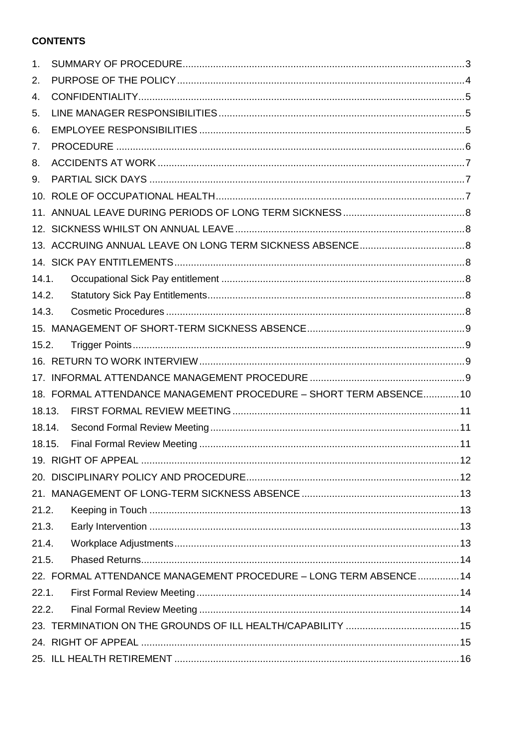# **CONTENTS**

| 1.                                                                |                                                                   |  |  |  |  |  |  |
|-------------------------------------------------------------------|-------------------------------------------------------------------|--|--|--|--|--|--|
| 2.                                                                |                                                                   |  |  |  |  |  |  |
| 4.                                                                |                                                                   |  |  |  |  |  |  |
| 5.                                                                |                                                                   |  |  |  |  |  |  |
| 6.                                                                |                                                                   |  |  |  |  |  |  |
| 7.                                                                |                                                                   |  |  |  |  |  |  |
| 8.                                                                |                                                                   |  |  |  |  |  |  |
| 9.                                                                |                                                                   |  |  |  |  |  |  |
|                                                                   |                                                                   |  |  |  |  |  |  |
|                                                                   |                                                                   |  |  |  |  |  |  |
|                                                                   |                                                                   |  |  |  |  |  |  |
|                                                                   |                                                                   |  |  |  |  |  |  |
|                                                                   |                                                                   |  |  |  |  |  |  |
| 14.1.                                                             |                                                                   |  |  |  |  |  |  |
| 14.2.                                                             |                                                                   |  |  |  |  |  |  |
| 14.3.                                                             |                                                                   |  |  |  |  |  |  |
|                                                                   |                                                                   |  |  |  |  |  |  |
| 15.2.                                                             |                                                                   |  |  |  |  |  |  |
|                                                                   |                                                                   |  |  |  |  |  |  |
|                                                                   |                                                                   |  |  |  |  |  |  |
|                                                                   | 18. FORMAL ATTENDANCE MANAGEMENT PROCEDURE - SHORT TERM ABSENCE10 |  |  |  |  |  |  |
| 18.13.                                                            |                                                                   |  |  |  |  |  |  |
| 18.14.                                                            |                                                                   |  |  |  |  |  |  |
| 18.15.                                                            |                                                                   |  |  |  |  |  |  |
|                                                                   |                                                                   |  |  |  |  |  |  |
|                                                                   |                                                                   |  |  |  |  |  |  |
|                                                                   |                                                                   |  |  |  |  |  |  |
| 21.2.                                                             |                                                                   |  |  |  |  |  |  |
| 21.3.                                                             |                                                                   |  |  |  |  |  |  |
| 21.4.                                                             |                                                                   |  |  |  |  |  |  |
| 21.5.                                                             |                                                                   |  |  |  |  |  |  |
| 22. FORMAL ATTENDANCE MANAGEMENT PROCEDURE - LONG TERM ABSENCE 14 |                                                                   |  |  |  |  |  |  |
| 22.1.                                                             |                                                                   |  |  |  |  |  |  |
| 22.2.                                                             |                                                                   |  |  |  |  |  |  |
|                                                                   |                                                                   |  |  |  |  |  |  |
|                                                                   |                                                                   |  |  |  |  |  |  |
|                                                                   |                                                                   |  |  |  |  |  |  |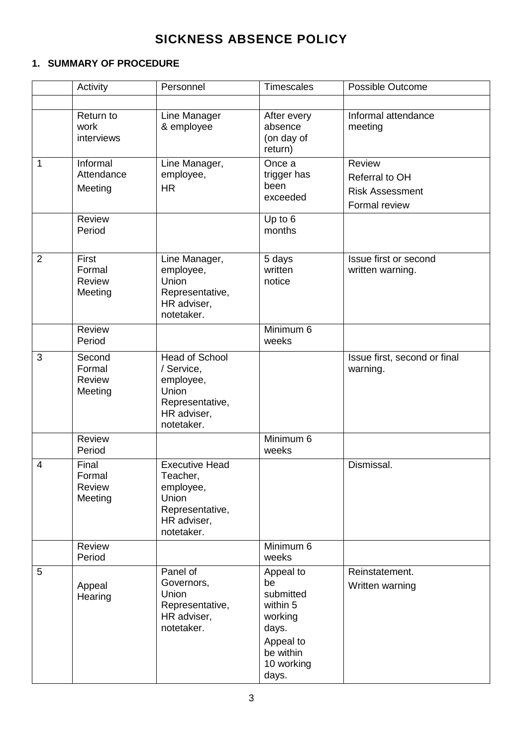# **SICKNESS ABSENCE POLICY**

# <span id="page-2-0"></span>**1. SUMMARY OF PROCEDURE**

|                | Activity                              | Personnel                                                                                                        | <b>Timescales</b>                                                                                             | Possible Outcome                                                           |
|----------------|---------------------------------------|------------------------------------------------------------------------------------------------------------------|---------------------------------------------------------------------------------------------------------------|----------------------------------------------------------------------------|
|                |                                       |                                                                                                                  |                                                                                                               |                                                                            |
|                | Return to<br>work<br>interviews       | Line Manager<br>& employee                                                                                       | After every<br>absence<br>(on day of<br>return)                                                               | Informal attendance<br>meeting                                             |
| $\mathbf{1}$   | Informal<br>Attendance<br>Meeting     | Line Manager,<br>employee,<br><b>HR</b>                                                                          | Once a<br>trigger has<br>been<br>exceeded                                                                     | <b>Review</b><br>Referral to OH<br><b>Risk Assessment</b><br>Formal review |
|                | Review<br>Period                      |                                                                                                                  | Up to 6<br>months                                                                                             |                                                                            |
| $\overline{2}$ | First<br>Formal<br>Review<br>Meeting  | Line Manager,<br>employee,<br>Union<br>Representative,<br>HR adviser,<br>notetaker.                              | 5 days<br>written<br>notice                                                                                   | Issue first or second<br>written warning.                                  |
|                | Review<br>Period                      |                                                                                                                  | Minimum 6<br>weeks                                                                                            |                                                                            |
| 3              | Second<br>Formal<br>Review<br>Meeting | <b>Head of School</b><br>/ Service,<br>employee,<br><b>Union</b><br>Representative,<br>HR adviser,<br>notetaker. |                                                                                                               | Issue first, second or final<br>warning.                                   |
|                | <b>Review</b><br>Period               |                                                                                                                  | Minimum 6<br>weeks                                                                                            |                                                                            |
| 4              | Final<br>Formal<br>Review<br>Meeting  | <b>Executive Head</b><br>Teacher,<br>employee,<br>Union<br>Representative,<br>HR adviser,<br>notetaker.          |                                                                                                               | Dismissal.                                                                 |
|                | Review<br>Period                      |                                                                                                                  | Minimum 6<br>weeks                                                                                            |                                                                            |
| 5              | Appeal<br>Hearing                     | Panel of<br>Governors,<br>Union<br>Representative,<br>HR adviser,<br>notetaker.                                  | Appeal to<br>be<br>submitted<br>within 5<br>working<br>days.<br>Appeal to<br>be within<br>10 working<br>days. | Reinstatement.<br>Written warning                                          |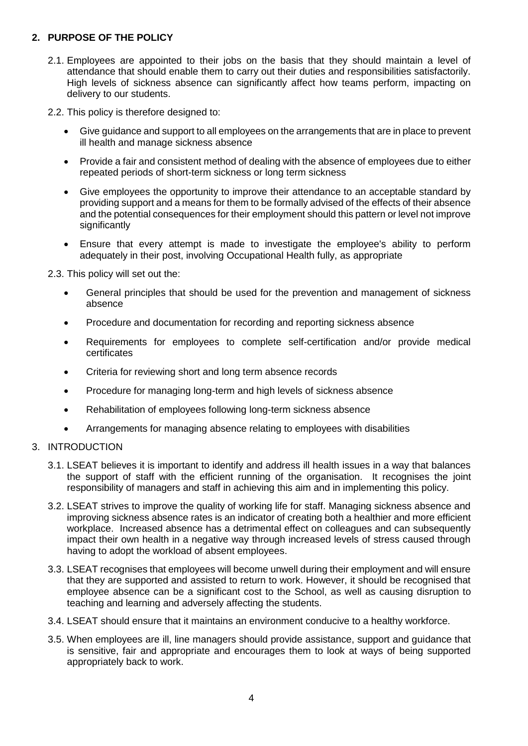# <span id="page-3-0"></span>**2. PURPOSE OF THE POLICY**

- 2.1. Employees are appointed to their jobs on the basis that they should maintain a level of attendance that should enable them to carry out their duties and responsibilities satisfactorily. High levels of sickness absence can significantly affect how teams perform, impacting on delivery to our students.
- 2.2. This policy is therefore designed to:
	- Give guidance and support to all employees on the arrangements that are in place to prevent ill health and manage sickness absence
	- Provide a fair and consistent method of dealing with the absence of employees due to either repeated periods of short-term sickness or long term sickness
	- Give employees the opportunity to improve their attendance to an acceptable standard by providing support and a means for them to be formally advised of the effects of their absence and the potential consequences for their employment should this pattern or level not improve significantly
	- Ensure that every attempt is made to investigate the employee's ability to perform adequately in their post, involving Occupational Health fully, as appropriate

2.3. This policy will set out the:

- General principles that should be used for the prevention and management of sickness absence
- Procedure and documentation for recording and reporting sickness absence
- Requirements for employees to complete self-certification and/or provide medical certificates
- Criteria for reviewing short and long term absence records
- Procedure for managing long-term and high levels of sickness absence
- Rehabilitation of employees following long-term sickness absence
- Arrangements for managing absence relating to employees with disabilities

#### 3. INTRODUCTION

- 3.1. LSEAT believes it is important to identify and address ill health issues in a way that balances the support of staff with the efficient running of the organisation. It recognises the joint responsibility of managers and staff in achieving this aim and in implementing this policy.
- 3.2. LSEAT strives to improve the quality of working life for staff. Managing sickness absence and improving sickness absence rates is an indicator of creating both a healthier and more efficient workplace. Increased absence has a detrimental effect on colleagues and can subsequently impact their own health in a negative way through increased levels of stress caused through having to adopt the workload of absent employees.
- 3.3. LSEAT recognises that employees will become unwell during their employment and will ensure that they are supported and assisted to return to work. However, it should be recognised that employee absence can be a significant cost to the School, as well as causing disruption to teaching and learning and adversely affecting the students.
- 3.4. LSEAT should ensure that it maintains an environment conducive to a healthy workforce.
- 3.5. When employees are ill, line managers should provide assistance, support and guidance that is sensitive, fair and appropriate and encourages them to look at ways of being supported appropriately back to work.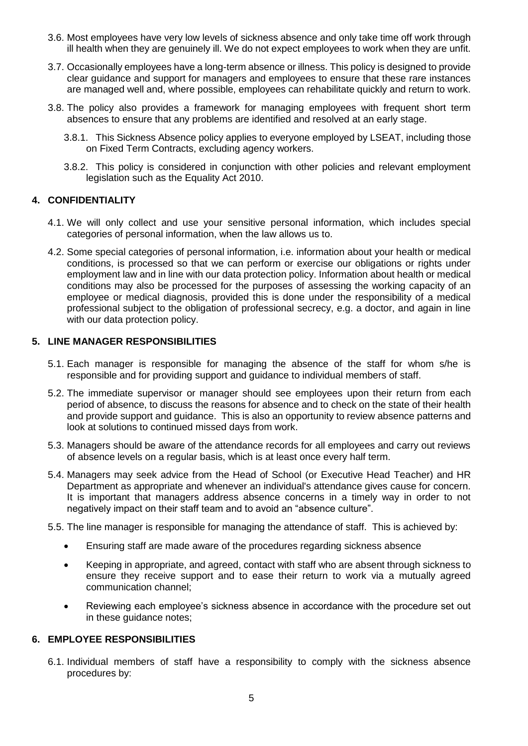- 3.6. Most employees have very low levels of sickness absence and only take time off work through ill health when they are genuinely ill. We do not expect employees to work when they are unfit.
- 3.7. Occasionally employees have a long-term absence or illness. This policy is designed to provide clear guidance and support for managers and employees to ensure that these rare instances are managed well and, where possible, employees can rehabilitate quickly and return to work.
- 3.8. The policy also provides a framework for managing employees with frequent short term absences to ensure that any problems are identified and resolved at an early stage.
	- 3.8.1. This Sickness Absence policy applies to everyone employed by LSEAT, including those on Fixed Term Contracts, excluding agency workers.
	- 3.8.2. This policy is considered in conjunction with other policies and relevant employment legislation such as the Equality Act 2010.

#### <span id="page-4-0"></span>**4. CONFIDENTIALITY**

- 4.1. We will only collect and use your sensitive personal information, which includes special categories of personal information, when the law allows us to.
- 4.2. Some special categories of personal information, i.e. information about your health or medical conditions, is processed so that we can perform or exercise our obligations or rights under employment law and in line with our data protection policy. Information about health or medical conditions may also be processed for the purposes of assessing the working capacity of an employee or medical diagnosis, provided this is done under the responsibility of a medical professional subject to the obligation of professional secrecy, e.g. a doctor, and again in line with our data protection policy.

#### <span id="page-4-1"></span>**5. LINE MANAGER RESPONSIBILITIES**

- 5.1. Each manager is responsible for managing the absence of the staff for whom s/he is responsible and for providing support and guidance to individual members of staff.
- 5.2. The immediate supervisor or manager should see employees upon their return from each period of absence, to discuss the reasons for absence and to check on the state of their health and provide support and guidance. This is also an opportunity to review absence patterns and look at solutions to continued missed days from work.
- 5.3. Managers should be aware of the attendance records for all employees and carry out reviews of absence levels on a regular basis, which is at least once every half term.
- 5.4. Managers may seek advice from the Head of School (or Executive Head Teacher) and HR Department as appropriate and whenever an individual's attendance gives cause for concern. It is important that managers address absence concerns in a timely way in order to not negatively impact on their staff team and to avoid an "absence culture".
- 5.5. The line manager is responsible for managing the attendance of staff. This is achieved by:
	- Ensuring staff are made aware of the procedures regarding sickness absence
	- Keeping in appropriate, and agreed, contact with staff who are absent through sickness to ensure they receive support and to ease their return to work via a mutually agreed communication channel;
	- Reviewing each employee's sickness absence in accordance with the procedure set out in these guidance notes;

#### <span id="page-4-2"></span>**6. EMPLOYEE RESPONSIBILITIES**

6.1. Individual members of staff have a responsibility to comply with the sickness absence procedures by: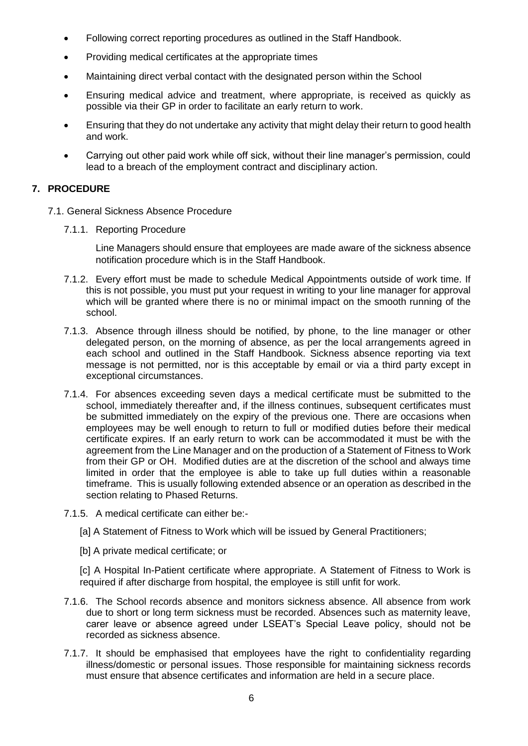- Following correct reporting procedures as outlined in the Staff Handbook.
- Providing medical certificates at the appropriate times
- Maintaining direct verbal contact with the designated person within the School
- Ensuring medical advice and treatment, where appropriate, is received as quickly as possible via their GP in order to facilitate an early return to work.
- Ensuring that they do not undertake any activity that might delay their return to good health and work.
- Carrying out other paid work while off sick, without their line manager's permission, could lead to a breach of the employment contract and disciplinary action.

#### <span id="page-5-0"></span>**7. PROCEDURE**

- 7.1. General Sickness Absence Procedure
	- 7.1.1. Reporting Procedure

Line Managers should ensure that employees are made aware of the sickness absence notification procedure which is in the Staff Handbook.

- 7.1.2. Every effort must be made to schedule Medical Appointments outside of work time. If this is not possible, you must put your request in writing to your line manager for approval which will be granted where there is no or minimal impact on the smooth running of the school.
- 7.1.3. Absence through illness should be notified, by phone, to the line manager or other delegated person, on the morning of absence, as per the local arrangements agreed in each school and outlined in the Staff Handbook. Sickness absence reporting via text message is not permitted, nor is this acceptable by email or via a third party except in exceptional circumstances.
- 7.1.4. For absences exceeding seven days a medical certificate must be submitted to the school, immediately thereafter and, if the illness continues, subsequent certificates must be submitted immediately on the expiry of the previous one. There are occasions when employees may be well enough to return to full or modified duties before their medical certificate expires. If an early return to work can be accommodated it must be with the agreement from the Line Manager and on the production of a Statement of Fitness to Work from their GP or OH. Modified duties are at the discretion of the school and always time limited in order that the employee is able to take up full duties within a reasonable timeframe. This is usually following extended absence or an operation as described in the section relating to Phased Returns.
- 7.1.5. A medical certificate can either be:-
	- [a] A Statement of Fitness to Work which will be issued by General Practitioners;
	- [b] A private medical certificate; or

[c] A Hospital In-Patient certificate where appropriate. A Statement of Fitness to Work is required if after discharge from hospital, the employee is still unfit for work.

- 7.1.6. The School records absence and monitors sickness absence. All absence from work due to short or long term sickness must be recorded. Absences such as maternity leave, carer leave or absence agreed under LSEAT's Special Leave policy, should not be recorded as sickness absence.
- 7.1.7. It should be emphasised that employees have the right to confidentiality regarding illness/domestic or personal issues. Those responsible for maintaining sickness records must ensure that absence certificates and information are held in a secure place.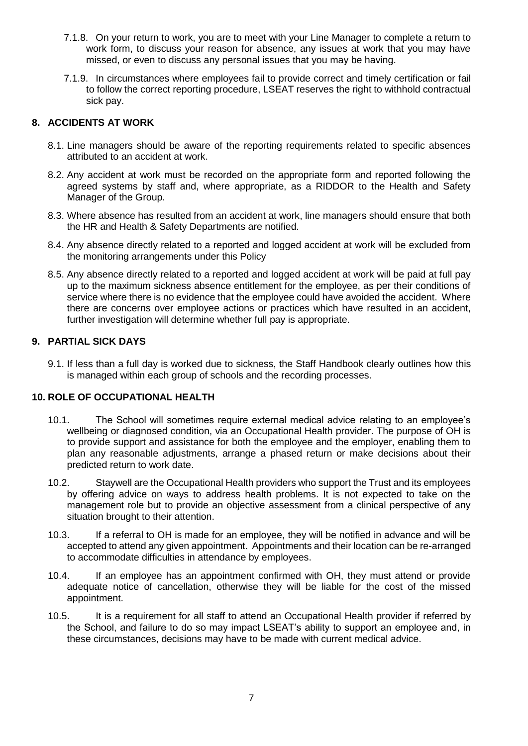- 7.1.8. On your return to work, you are to meet with your Line Manager to complete a return to work form, to discuss your reason for absence, any issues at work that you may have missed, or even to discuss any personal issues that you may be having.
- 7.1.9. In circumstances where employees fail to provide correct and timely certification or fail to follow the correct reporting procedure, LSEAT reserves the right to withhold contractual sick pay.

#### <span id="page-6-0"></span>**8. ACCIDENTS AT WORK**

- 8.1. Line managers should be aware of the reporting requirements related to specific absences attributed to an accident at work.
- 8.2. Any accident at work must be recorded on the appropriate form and reported following the agreed systems by staff and, where appropriate, as a RIDDOR to the Health and Safety Manager of the Group.
- 8.3. Where absence has resulted from an accident at work, line managers should ensure that both the HR and Health & Safety Departments are notified.
- 8.4. Any absence directly related to a reported and logged accident at work will be excluded from the monitoring arrangements under this Policy
- 8.5. Any absence directly related to a reported and logged accident at work will be paid at full pay up to the maximum sickness absence entitlement for the employee, as per their conditions of service where there is no evidence that the employee could have avoided the accident. Where there are concerns over employee actions or practices which have resulted in an accident, further investigation will determine whether full pay is appropriate.

#### <span id="page-6-1"></span>**9. PARTIAL SICK DAYS**

9.1. If less than a full day is worked due to sickness, the Staff Handbook clearly outlines how this is managed within each group of schools and the recording processes.

#### <span id="page-6-2"></span>**10. ROLE OF OCCUPATIONAL HEALTH**

- 10.1. The School will sometimes require external medical advice relating to an employee's wellbeing or diagnosed condition, via an Occupational Health provider. The purpose of OH is to provide support and assistance for both the employee and the employer, enabling them to plan any reasonable adjustments, arrange a phased return or make decisions about their predicted return to work date.
- 10.2. Staywell are the Occupational Health providers who support the Trust and its employees by offering advice on ways to address health problems. It is not expected to take on the management role but to provide an objective assessment from a clinical perspective of any situation brought to their attention.
- 10.3. If a referral to OH is made for an employee, they will be notified in advance and will be accepted to attend any given appointment. Appointments and their location can be re-arranged to accommodate difficulties in attendance by employees.
- 10.4. If an employee has an appointment confirmed with OH, they must attend or provide adequate notice of cancellation, otherwise they will be liable for the cost of the missed appointment.
- 10.5. It is a requirement for all staff to attend an Occupational Health provider if referred by the School, and failure to do so may impact LSEAT's ability to support an employee and, in these circumstances, decisions may have to be made with current medical advice.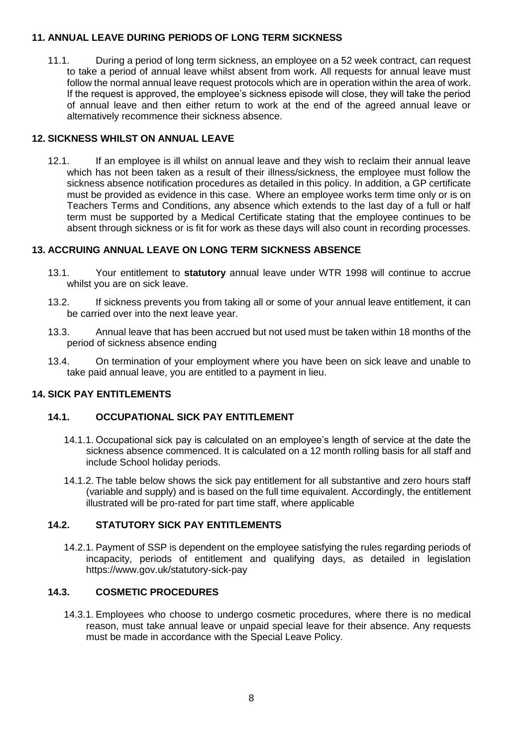#### <span id="page-7-0"></span>**11. ANNUAL LEAVE DURING PERIODS OF LONG TERM SICKNESS**

11.1. During a period of long term sickness, an employee on a 52 week contract, can request to take a period of annual leave whilst absent from work. All requests for annual leave must follow the normal annual leave request protocols which are in operation within the area of work. If the request is approved, the employee's sickness episode will close, they will take the period of annual leave and then either return to work at the end of the agreed annual leave or alternatively recommence their sickness absence.

#### <span id="page-7-1"></span>**12. SICKNESS WHILST ON ANNUAL LEAVE**

12.1. If an employee is ill whilst on annual leave and they wish to reclaim their annual leave which has not been taken as a result of their illness/sickness, the employee must follow the sickness absence notification procedures as detailed in this policy. In addition, a GP certificate must be provided as evidence in this case. Where an employee works term time only or is on Teachers Terms and Conditions, any absence which extends to the last day of a full or half term must be supported by a Medical Certificate stating that the employee continues to be absent through sickness or is fit for work as these days will also count in recording processes.

#### <span id="page-7-2"></span>**13. ACCRUING ANNUAL LEAVE ON LONG TERM SICKNESS ABSENCE**

- 13.1. Your entitlement to **statutory** annual leave under WTR 1998 will continue to accrue whilst you are on sick leave.
- 13.2. If sickness prevents you from taking all or some of your annual leave entitlement, it can be carried over into the next leave year.
- 13.3. Annual leave that has been accrued but not used must be taken within 18 months of the period of sickness absence ending
- 13.4. On termination of your employment where you have been on sick leave and unable to take paid annual leave, you are entitled to a payment in lieu.

# <span id="page-7-3"></span>**14. SICK PAY ENTITLEMENTS**

#### <span id="page-7-4"></span>**14.1. OCCUPATIONAL SICK PAY ENTITLEMENT**

- 14.1.1. Occupational sick pay is calculated on an employee's length of service at the date the sickness absence commenced. It is calculated on a 12 month rolling basis for all staff and include School holiday periods.
- 14.1.2. The table below shows the sick pay entitlement for all substantive and zero hours staff (variable and supply) and is based on the full time equivalent. Accordingly, the entitlement illustrated will be pro-rated for part time staff, where applicable

# <span id="page-7-5"></span>**14.2. STATUTORY SICK PAY ENTITLEMENTS**

14.2.1. Payment of SSP is dependent on the employee satisfying the rules regarding periods of incapacity, periods of entitlement and qualifying days, as detailed in legislation https://www.gov.uk/statutory-sick-pay

# <span id="page-7-6"></span>**14.3. COSMETIC PROCEDURES**

14.3.1. Employees who choose to undergo cosmetic procedures, where there is no medical reason, must take annual leave or unpaid special leave for their absence. Any requests must be made in accordance with the Special Leave Policy.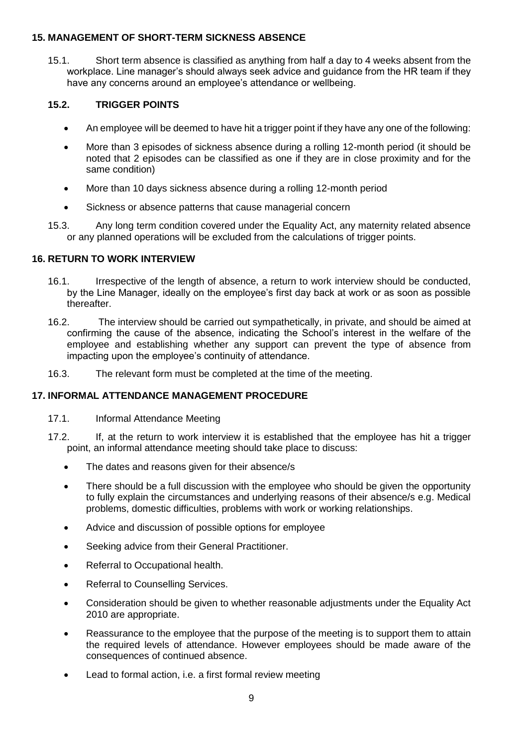#### <span id="page-8-0"></span>**15. MANAGEMENT OF SHORT-TERM SICKNESS ABSENCE**

15.1. Short term absence is classified as anything from half a day to 4 weeks absent from the workplace. Line manager's should always seek advice and guidance from the HR team if they have any concerns around an employee's attendance or wellbeing.

#### <span id="page-8-1"></span>**15.2. TRIGGER POINTS**

- An employee will be deemed to have hit a trigger point if they have any one of the following:
- More than 3 episodes of sickness absence during a rolling 12-month period (it should be noted that 2 episodes can be classified as one if they are in close proximity and for the same condition)
- More than 10 days sickness absence during a rolling 12-month period
- Sickness or absence patterns that cause managerial concern
- 15.3. Any long term condition covered under the Equality Act, any maternity related absence or any planned operations will be excluded from the calculations of trigger points.

#### <span id="page-8-2"></span>**16. RETURN TO WORK INTERVIEW**

- 16.1. Irrespective of the length of absence, a return to work interview should be conducted, by the Line Manager, ideally on the employee's first day back at work or as soon as possible thereafter.
- 16.2. The interview should be carried out sympathetically, in private, and should be aimed at confirming the cause of the absence, indicating the School's interest in the welfare of the employee and establishing whether any support can prevent the type of absence from impacting upon the employee's continuity of attendance.
- 16.3. The relevant form must be completed at the time of the meeting.

#### <span id="page-8-3"></span>**17. INFORMAL ATTENDANCE MANAGEMENT PROCEDURE**

- 17.1. Informal Attendance Meeting
- 17.2. If, at the return to work interview it is established that the employee has hit a trigger point, an informal attendance meeting should take place to discuss:
	- The dates and reasons given for their absence/s
	- There should be a full discussion with the employee who should be given the opportunity to fully explain the circumstances and underlying reasons of their absence/s e.g. Medical problems, domestic difficulties, problems with work or working relationships.
	- Advice and discussion of possible options for employee
	- Seeking advice from their General Practitioner.
	- Referral to Occupational health.
	- Referral to Counselling Services.
	- Consideration should be given to whether reasonable adjustments under the Equality Act 2010 are appropriate.
	- Reassurance to the employee that the purpose of the meeting is to support them to attain the required levels of attendance. However employees should be made aware of the consequences of continued absence.
	- Lead to formal action, i.e. a first formal review meeting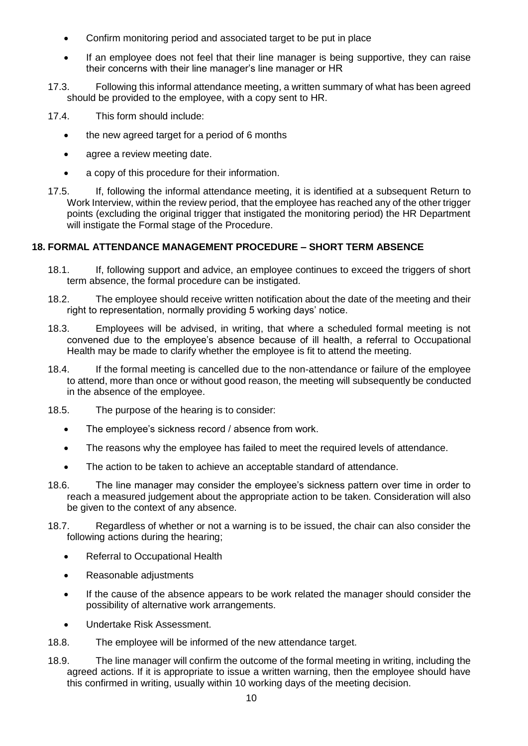- Confirm monitoring period and associated target to be put in place
- If an employee does not feel that their line manager is being supportive, they can raise their concerns with their line manager's line manager or HR
- 17.3. Following this informal attendance meeting, a written summary of what has been agreed should be provided to the employee, with a copy sent to HR.
- 17.4. This form should include:
	- the new agreed target for a period of 6 months
	- agree a review meeting date.
	- a copy of this procedure for their information.
- 17.5. If, following the informal attendance meeting, it is identified at a subsequent Return to Work Interview, within the review period, that the employee has reached any of the other trigger points (excluding the original trigger that instigated the monitoring period) the HR Department will instigate the Formal stage of the Procedure.

#### <span id="page-9-0"></span>**18. FORMAL ATTENDANCE MANAGEMENT PROCEDURE – SHORT TERM ABSENCE**

- 18.1. If, following support and advice, an employee continues to exceed the triggers of short term absence, the formal procedure can be instigated.
- 18.2. The employee should receive written notification about the date of the meeting and their right to representation, normally providing 5 working days' notice.
- 18.3. Employees will be advised, in writing, that where a scheduled formal meeting is not convened due to the employee's absence because of ill health, a referral to Occupational Health may be made to clarify whether the employee is fit to attend the meeting.
- 18.4. If the formal meeting is cancelled due to the non-attendance or failure of the employee to attend, more than once or without good reason, the meeting will subsequently be conducted in the absence of the employee.
- 18.5. The purpose of the hearing is to consider:
	- The employee's sickness record / absence from work.
	- The reasons why the employee has failed to meet the required levels of attendance.
	- The action to be taken to achieve an acceptable standard of attendance.
- 18.6. The line manager may consider the employee's sickness pattern over time in order to reach a measured judgement about the appropriate action to be taken. Consideration will also be given to the context of any absence.
- 18.7. Regardless of whether or not a warning is to be issued, the chair can also consider the following actions during the hearing;
	- Referral to Occupational Health
	- Reasonable adjustments
	- If the cause of the absence appears to be work related the manager should consider the possibility of alternative work arrangements.
	- Undertake Risk Assessment.
- 18.8. The employee will be informed of the new attendance target.
- 18.9. The line manager will confirm the outcome of the formal meeting in writing, including the agreed actions. If it is appropriate to issue a written warning, then the employee should have this confirmed in writing, usually within 10 working days of the meeting decision.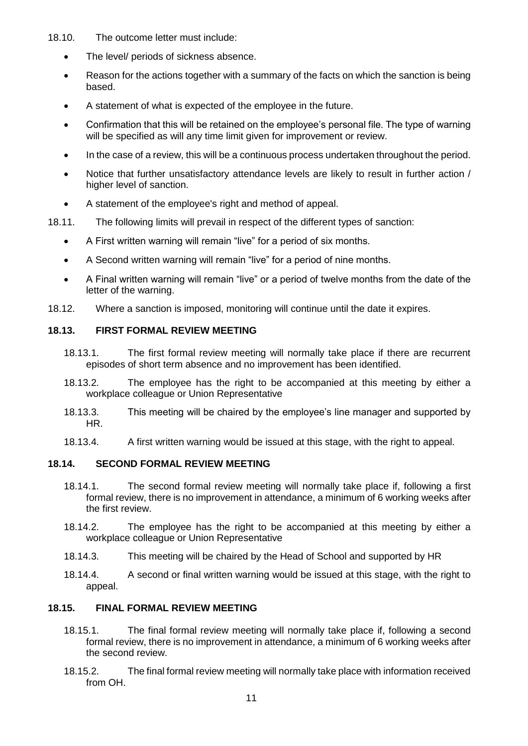- 18.10. The outcome letter must include:
	- The level/ periods of sickness absence.
	- Reason for the actions together with a summary of the facts on which the sanction is being based.
	- A statement of what is expected of the employee in the future.
	- Confirmation that this will be retained on the employee's personal file. The type of warning will be specified as will any time limit given for improvement or review.
	- In the case of a review, this will be a continuous process undertaken throughout the period.
	- Notice that further unsatisfactory attendance levels are likely to result in further action / higher level of sanction.
	- A statement of the employee's right and method of appeal.
- 18.11. The following limits will prevail in respect of the different types of sanction:
	- A First written warning will remain "live" for a period of six months.
	- A Second written warning will remain "live" for a period of nine months.
	- A Final written warning will remain "live" or a period of twelve months from the date of the letter of the warning.
- 18.12. Where a sanction is imposed, monitoring will continue until the date it expires.

# <span id="page-10-0"></span>**18.13. FIRST FORMAL REVIEW MEETING**

- 18.13.1. The first formal review meeting will normally take place if there are recurrent episodes of short term absence and no improvement has been identified.
- 18.13.2. The employee has the right to be accompanied at this meeting by either a workplace colleague or Union Representative
- 18.13.3. This meeting will be chaired by the employee's line manager and supported by HR.
- 18.13.4. A first written warning would be issued at this stage, with the right to appeal.

#### <span id="page-10-1"></span>**18.14. SECOND FORMAL REVIEW MEETING**

- 18.14.1. The second formal review meeting will normally take place if, following a first formal review, there is no improvement in attendance, a minimum of 6 working weeks after the first review.
- 18.14.2. The employee has the right to be accompanied at this meeting by either a workplace colleague or Union Representative
- 18.14.3. This meeting will be chaired by the Head of School and supported by HR
- 18.14.4. A second or final written warning would be issued at this stage, with the right to appeal.

#### <span id="page-10-2"></span>**18.15. FINAL FORMAL REVIEW MEETING**

- 18.15.1. The final formal review meeting will normally take place if, following a second formal review, there is no improvement in attendance, a minimum of 6 working weeks after the second review.
- 18.15.2. The final formal review meeting will normally take place with information received from OH.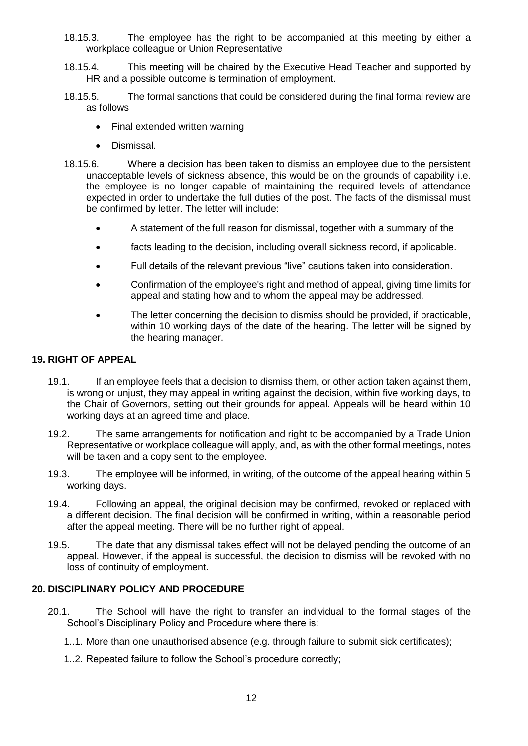- 18.15.3. The employee has the right to be accompanied at this meeting by either a workplace colleague or Union Representative
- 18.15.4. This meeting will be chaired by the Executive Head Teacher and supported by HR and a possible outcome is termination of employment.
- 18.15.5. The formal sanctions that could be considered during the final formal review are as follows
	- Final extended written warning
	- Dismissal.
- 18.15.6. Where a decision has been taken to dismiss an employee due to the persistent unacceptable levels of sickness absence, this would be on the grounds of capability i.e. the employee is no longer capable of maintaining the required levels of attendance expected in order to undertake the full duties of the post. The facts of the dismissal must be confirmed by letter. The letter will include:
	- A statement of the full reason for dismissal, together with a summary of the
	- facts leading to the decision, including overall sickness record, if applicable.
	- Full details of the relevant previous "live" cautions taken into consideration.
	- Confirmation of the employee's right and method of appeal, giving time limits for appeal and stating how and to whom the appeal may be addressed.
	- The letter concerning the decision to dismiss should be provided, if practicable, within 10 working days of the date of the hearing. The letter will be signed by the hearing manager.

#### <span id="page-11-0"></span>**19. RIGHT OF APPEAL**

- 19.1. If an employee feels that a decision to dismiss them, or other action taken against them, is wrong or unjust, they may appeal in writing against the decision, within five working days, to the Chair of Governors, setting out their grounds for appeal. Appeals will be heard within 10 working days at an agreed time and place.
- 19.2. The same arrangements for notification and right to be accompanied by a Trade Union Representative or workplace colleague will apply, and, as with the other formal meetings, notes will be taken and a copy sent to the employee.
- 19.3. The employee will be informed, in writing, of the outcome of the appeal hearing within 5 working days.
- 19.4. Following an appeal, the original decision may be confirmed, revoked or replaced with a different decision. The final decision will be confirmed in writing, within a reasonable period after the appeal meeting. There will be no further right of appeal.
- 19.5. The date that any dismissal takes effect will not be delayed pending the outcome of an appeal. However, if the appeal is successful, the decision to dismiss will be revoked with no loss of continuity of employment.

#### <span id="page-11-1"></span>**20. DISCIPLINARY POLICY AND PROCEDURE**

- 20.1. The School will have the right to transfer an individual to the formal stages of the School's Disciplinary Policy and Procedure where there is:
	- 1..1. More than one unauthorised absence (e.g. through failure to submit sick certificates);
	- 1..2. Repeated failure to follow the School's procedure correctly;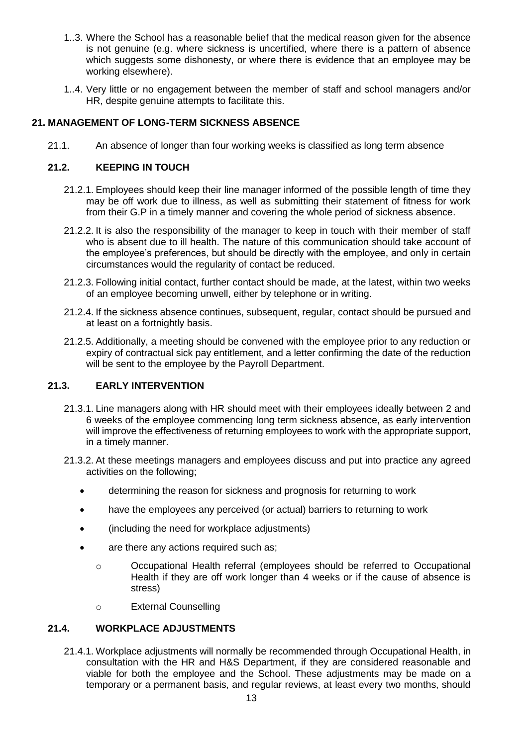- 1..3. Where the School has a reasonable belief that the medical reason given for the absence is not genuine (e.g. where sickness is uncertified, where there is a pattern of absence which suggests some dishonesty, or where there is evidence that an employee may be working elsewhere).
- 1..4. Very little or no engagement between the member of staff and school managers and/or HR, despite genuine attempts to facilitate this.

# <span id="page-12-0"></span>**21. MANAGEMENT OF LONG-TERM SICKNESS ABSENCE**

21.1. An absence of longer than four working weeks is classified as long term absence

# <span id="page-12-1"></span>**21.2. KEEPING IN TOUCH**

- 21.2.1. Employees should keep their line manager informed of the possible length of time they may be off work due to illness, as well as submitting their statement of fitness for work from their G.P in a timely manner and covering the whole period of sickness absence.
- 21.2.2. It is also the responsibility of the manager to keep in touch with their member of staff who is absent due to ill health. The nature of this communication should take account of the employee's preferences, but should be directly with the employee, and only in certain circumstances would the regularity of contact be reduced.
- 21.2.3. Following initial contact, further contact should be made, at the latest, within two weeks of an employee becoming unwell, either by telephone or in writing.
- 21.2.4. If the sickness absence continues, subsequent, regular, contact should be pursued and at least on a fortnightly basis.
- 21.2.5. Additionally, a meeting should be convened with the employee prior to any reduction or expiry of contractual sick pay entitlement, and a letter confirming the date of the reduction will be sent to the employee by the Payroll Department.

#### <span id="page-12-2"></span>**21.3. EARLY INTERVENTION**

- 21.3.1. Line managers along with HR should meet with their employees ideally between 2 and 6 weeks of the employee commencing long term sickness absence, as early intervention will improve the effectiveness of returning employees to work with the appropriate support, in a timely manner.
- 21.3.2. At these meetings managers and employees discuss and put into practice any agreed activities on the following;
	- determining the reason for sickness and prognosis for returning to work
	- have the employees any perceived (or actual) barriers to returning to work
	- (including the need for workplace adjustments)
	- are there any actions required such as;
		- o Occupational Health referral (employees should be referred to Occupational Health if they are off work longer than 4 weeks or if the cause of absence is stress)
		- o External Counselling

#### <span id="page-12-3"></span>**21.4. WORKPLACE ADJUSTMENTS**

21.4.1. Workplace adjustments will normally be recommended through Occupational Health, in consultation with the HR and H&S Department, if they are considered reasonable and viable for both the employee and the School. These adjustments may be made on a temporary or a permanent basis, and regular reviews, at least every two months, should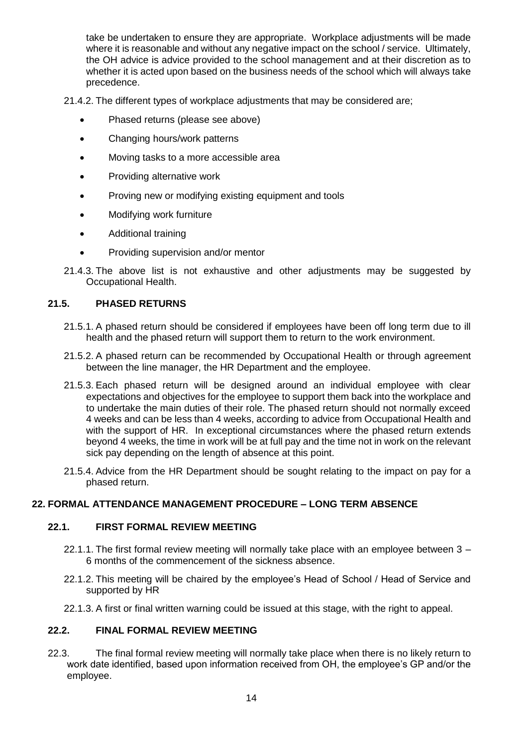take be undertaken to ensure they are appropriate. Workplace adjustments will be made where it is reasonable and without any negative impact on the school / service. Ultimately, the OH advice is advice provided to the school management and at their discretion as to whether it is acted upon based on the business needs of the school which will always take precedence.

21.4.2. The different types of workplace adjustments that may be considered are;

- Phased returns (please see above)
- Changing hours/work patterns
- Moving tasks to a more accessible area
- Providing alternative work
- Proving new or modifying existing equipment and tools
- Modifying work furniture
- Additional training
- Providing supervision and/or mentor
- 21.4.3. The above list is not exhaustive and other adjustments may be suggested by Occupational Health.

#### <span id="page-13-0"></span>**21.5. PHASED RETURNS**

- 21.5.1. A phased return should be considered if employees have been off long term due to ill health and the phased return will support them to return to the work environment.
- 21.5.2. A phased return can be recommended by Occupational Health or through agreement between the line manager, the HR Department and the employee.
- 21.5.3. Each phased return will be designed around an individual employee with clear expectations and objectives for the employee to support them back into the workplace and to undertake the main duties of their role. The phased return should not normally exceed 4 weeks and can be less than 4 weeks, according to advice from Occupational Health and with the support of HR. In exceptional circumstances where the phased return extends beyond 4 weeks, the time in work will be at full pay and the time not in work on the relevant sick pay depending on the length of absence at this point.
- 21.5.4. Advice from the HR Department should be sought relating to the impact on pay for a phased return.

# <span id="page-13-1"></span>**22. FORMAL ATTENDANCE MANAGEMENT PROCEDURE – LONG TERM ABSENCE**

#### <span id="page-13-2"></span>**22.1. FIRST FORMAL REVIEW MEETING**

- 22.1.1. The first formal review meeting will normally take place with an employee between 3 6 months of the commencement of the sickness absence.
- 22.1.2. This meeting will be chaired by the employee's Head of School / Head of Service and supported by HR
- 22.1.3. A first or final written warning could be issued at this stage, with the right to appeal.

#### <span id="page-13-3"></span>**22.2. FINAL FORMAL REVIEW MEETING**

22.3. The final formal review meeting will normally take place when there is no likely return to work date identified, based upon information received from OH, the employee's GP and/or the employee.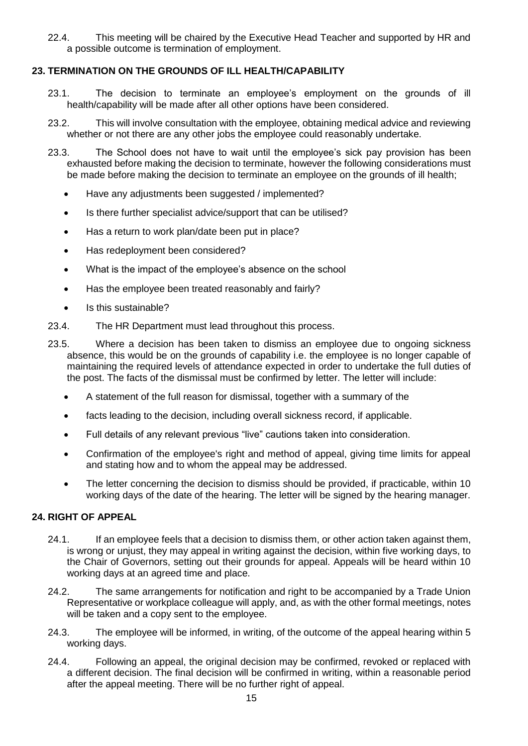22.4. This meeting will be chaired by the Executive Head Teacher and supported by HR and a possible outcome is termination of employment.

# <span id="page-14-0"></span>**23. TERMINATION ON THE GROUNDS OF ILL HEALTH/CAPABILITY**

- 23.1. The decision to terminate an employee's employment on the grounds of ill health/capability will be made after all other options have been considered.
- 23.2. This will involve consultation with the employee, obtaining medical advice and reviewing whether or not there are any other jobs the employee could reasonably undertake.
- 23.3. The School does not have to wait until the employee's sick pay provision has been exhausted before making the decision to terminate, however the following considerations must be made before making the decision to terminate an employee on the grounds of ill health;
	- Have any adjustments been suggested / implemented?
	- Is there further specialist advice/support that can be utilised?
	- Has a return to work plan/date been put in place?
	- Has redeployment been considered?
	- What is the impact of the employee's absence on the school
	- Has the employee been treated reasonably and fairly?
	- Is this sustainable?
- 23.4. The HR Department must lead throughout this process.
- 23.5. Where a decision has been taken to dismiss an employee due to ongoing sickness absence, this would be on the grounds of capability i.e. the employee is no longer capable of maintaining the required levels of attendance expected in order to undertake the full duties of the post. The facts of the dismissal must be confirmed by letter. The letter will include:
	- A statement of the full reason for dismissal, together with a summary of the
	- facts leading to the decision, including overall sickness record, if applicable.
	- Full details of any relevant previous "live" cautions taken into consideration.
	- Confirmation of the employee's right and method of appeal, giving time limits for appeal and stating how and to whom the appeal may be addressed.
	- The letter concerning the decision to dismiss should be provided, if practicable, within 10 working days of the date of the hearing. The letter will be signed by the hearing manager.

#### <span id="page-14-1"></span>**24. RIGHT OF APPEAL**

- 24.1. If an employee feels that a decision to dismiss them, or other action taken against them, is wrong or unjust, they may appeal in writing against the decision, within five working days, to the Chair of Governors, setting out their grounds for appeal. Appeals will be heard within 10 working days at an agreed time and place.
- 24.2. The same arrangements for notification and right to be accompanied by a Trade Union Representative or workplace colleague will apply, and, as with the other formal meetings, notes will be taken and a copy sent to the employee.
- 24.3. The employee will be informed, in writing, of the outcome of the appeal hearing within 5 working days.
- 24.4. Following an appeal, the original decision may be confirmed, revoked or replaced with a different decision. The final decision will be confirmed in writing, within a reasonable period after the appeal meeting. There will be no further right of appeal.